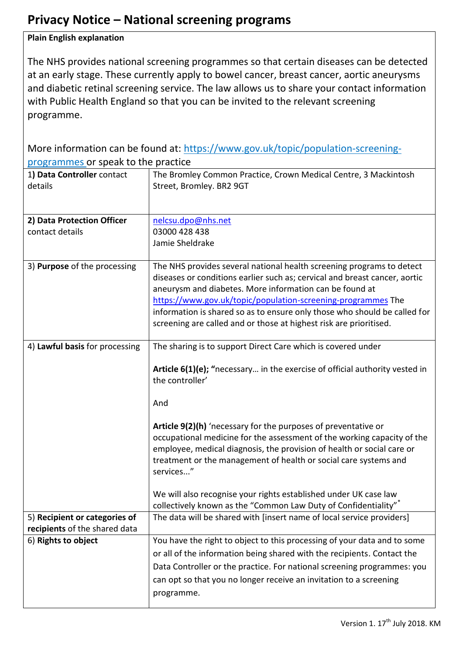## **Privacy Notice – National screening programs**

## **Plain English explanation**

The NHS provides national screening programmes so that certain diseases can be detected at an early stage. These currently apply to bowel cancer, breast cancer, aortic aneurysms and diabetic retinal screening service. The law allows us to share your contact information with Public Health England so that you can be invited to the relevant screening programme.

More information can be found at: [https://www.gov.uk/topic/population-screening](https://www.gov.uk/topic/population-screening-programmes)[programmes](https://www.gov.uk/topic/population-screening-programmes) or speak to the practice

| 1) Data Controller contact<br>details | The Bromley Common Practice, Crown Medical Centre, 3 Mackintosh<br>Street, Bromley. BR2 9GT     |
|---------------------------------------|-------------------------------------------------------------------------------------------------|
| 2) Data Protection Officer            | nelcsu.dpo@nhs.net                                                                              |
| contact details                       | 03000 428 438                                                                                   |
|                                       | Jamie Sheldrake                                                                                 |
|                                       |                                                                                                 |
| 3) Purpose of the processing          | The NHS provides several national health screening programs to detect                           |
|                                       | diseases or conditions earlier such as; cervical and breast cancer, aortic                      |
|                                       | aneurysm and diabetes. More information can be found at                                         |
|                                       |                                                                                                 |
|                                       | https://www.gov.uk/topic/population-screening-programmes The                                    |
|                                       | information is shared so as to ensure only those who should be called for                       |
|                                       | screening are called and or those at highest risk are prioritised.                              |
| 4) Lawful basis for processing        | The sharing is to support Direct Care which is covered under                                    |
|                                       |                                                                                                 |
|                                       | <b>Article <math>6(1)(e)</math>;</b> "necessary in the exercise of official authority vested in |
|                                       | the controller'                                                                                 |
|                                       |                                                                                                 |
|                                       | And                                                                                             |
|                                       |                                                                                                 |
|                                       | Article 9(2)(h) 'necessary for the purposes of preventative or                                  |
|                                       | occupational medicine for the assessment of the working capacity of the                         |
|                                       | employee, medical diagnosis, the provision of health or social care or                          |
|                                       | treatment or the management of health or social care systems and                                |
|                                       | services"                                                                                       |
|                                       |                                                                                                 |
|                                       | We will also recognise your rights established under UK case law                                |
|                                       | collectively known as the "Common Law Duty of Confidentiality"                                  |
| 5) Recipient or categories of         | The data will be shared with [insert name of local service providers]                           |
| recipients of the shared data         |                                                                                                 |
| 6) Rights to object                   | You have the right to object to this processing of your data and to some                        |
|                                       | or all of the information being shared with the recipients. Contact the                         |
|                                       | Data Controller or the practice. For national screening programmes: you                         |
|                                       | can opt so that you no longer receive an invitation to a screening                              |
|                                       | programme.                                                                                      |
|                                       |                                                                                                 |